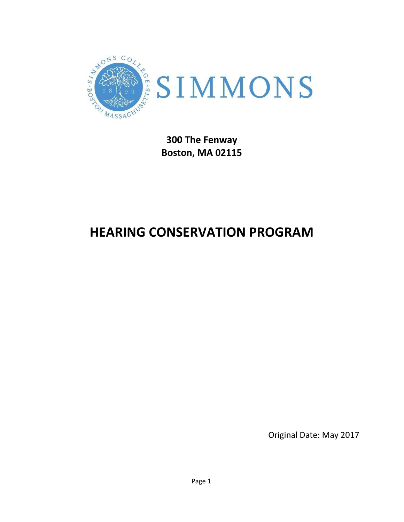

**Boston, MA 02115**

# **HEARING CONSERVATION PROGRAM**

Original Date: May 2017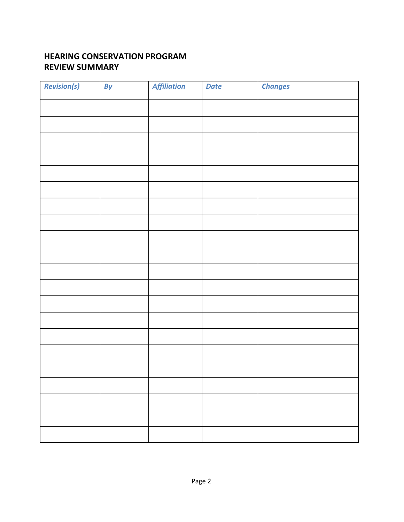# **HEARING CONSERVATION PROGRAM REVIEW SUMMARY**

| <b>Revision(s)</b> | By | <b>Affiliation</b> | <b>Date</b> | <b>Changes</b> |  |
|--------------------|----|--------------------|-------------|----------------|--|
|                    |    |                    |             |                |  |
|                    |    |                    |             |                |  |
|                    |    |                    |             |                |  |
|                    |    |                    |             |                |  |
|                    |    |                    |             |                |  |
|                    |    |                    |             |                |  |
|                    |    |                    |             |                |  |
|                    |    |                    |             |                |  |
|                    |    |                    |             |                |  |
|                    |    |                    |             |                |  |
|                    |    |                    |             |                |  |
|                    |    |                    |             |                |  |
|                    |    |                    |             |                |  |
|                    |    |                    |             |                |  |
|                    |    |                    |             |                |  |
|                    |    |                    |             |                |  |
|                    |    |                    |             |                |  |
|                    |    |                    |             |                |  |
|                    |    |                    |             |                |  |
|                    |    |                    |             |                |  |
|                    |    |                    |             |                |  |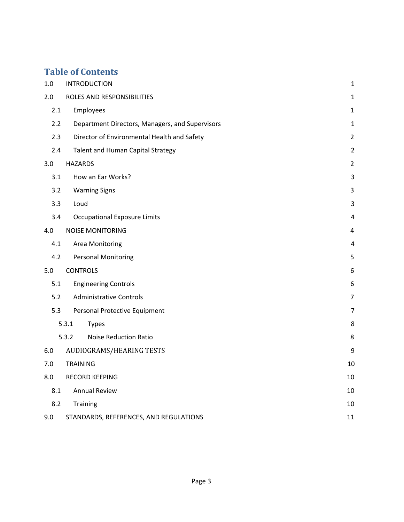# **Table of Contents**

| 1.0 | <b>INTRODUCTION</b>                             | $\mathbf{1}$   |
|-----|-------------------------------------------------|----------------|
| 2.0 | ROLES AND RESPONSIBILITIES                      | $\mathbf 1$    |
| 2.1 | Employees                                       | $\mathbf{1}$   |
| 2.2 | Department Directors, Managers, and Supervisors | $\mathbf{1}$   |
| 2.3 | Director of Environmental Health and Safety     | $\overline{2}$ |
| 2.4 | Talent and Human Capital Strategy               | $\overline{2}$ |
| 3.0 | <b>HAZARDS</b>                                  | $\overline{2}$ |
| 3.1 | How an Ear Works?                               | 3              |
| 3.2 | <b>Warning Signs</b>                            | 3              |
| 3.3 | Loud                                            | 3              |
| 3.4 | <b>Occupational Exposure Limits</b>             | $\pmb{4}$      |
| 4.0 | <b>NOISE MONITORING</b>                         | 4              |
| 4.1 | Area Monitoring                                 | $\pmb{4}$      |
| 4.2 | <b>Personal Monitoring</b>                      | 5              |
| 5.0 | <b>CONTROLS</b>                                 | 6              |
| 5.1 | <b>Engineering Controls</b>                     | 6              |
| 5.2 | <b>Administrative Controls</b>                  | $\overline{7}$ |
| 5.3 | Personal Protective Equipment                   | 7              |
|     | 5.3.1<br><b>Types</b>                           | 8              |
|     | 5.3.2<br><b>Noise Reduction Ratio</b>           | 8              |
| 6.0 | AUDIOGRAMS/HEARING TESTS                        | 9              |
| 7.0 | <b>TRAINING</b>                                 | 10             |
| 8.0 | <b>RECORD KEEPING</b>                           | 10             |
| 8.1 | <b>Annual Review</b>                            | 10             |
| 8.2 | Training                                        | 10             |
| 9.0 | STANDARDS, REFERENCES, AND REGULATIONS          | 11             |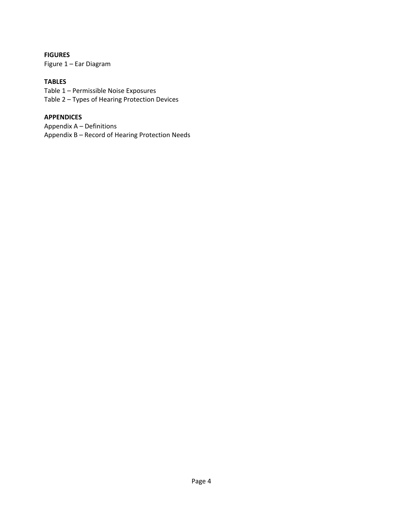#### **FIGURES**

Figure 1 – Ear Diagram

#### **TABLES**

Table 1 – Permissible Noise Exposures Table 2 – Types of Hearing Protection Devices

#### **APPENDICES**

Appendix A – Definitions Appendix B – Record of Hearing Protection Needs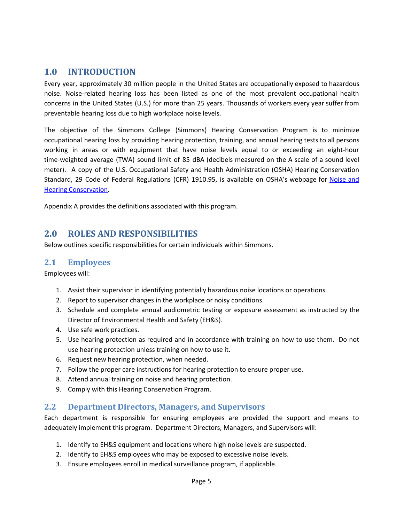## <span id="page-4-0"></span>**1.0 INTRODUCTION**

Every year, approximately 30 million people in the United States are occupationally exposed to hazardous noise. Noise-related hearing loss has been listed as one of the most prevalent occupational health concerns in the United States (U.S.) for more than 25 years. Thousands of workers every year suffer from preventable hearing loss due to high workplace noise levels.

The objective of the Simmons College (Simmons) Hearing Conservation Program is to minimize occupational hearing loss by providing hearing protection, training, and annual hearing tests to all persons working in areas or with equipment that have noise levels equal to or exceeding an eight-hour time-weighted average (TWA) sound limit of 85 dBA (decibels measured on the A scale of a sound level meter). A copy of the U.S. Occupational Safety and Health Administration (OSHA) Hearing Conservation Standard, 29 Code of Federal Regulations (CFR) 1910.95, is available on OSHA's webpage for [Noise](https://www.osha.gov/dts/osta/otm/noise/hcp/) and Hearing [Conservation.](https://www.osha.gov/dts/osta/otm/noise/hcp/)

Appendix A provides the definitions associated with this program.

### <span id="page-4-1"></span>**2.0 ROLES AND RESPONSIBILITIES**

Below outlines specific responsibilities for certain individuals within Simmons.

#### <span id="page-4-2"></span>**2.1 Employees**

Employees will:

- 1. Assist their supervisor in identifying potentially hazardous noise locations or operations.
- 2. Report to supervisor changes in the workplace or noisy conditions.
- 3. Schedule and complete annual audiometric testing or exposure assessment as instructed by the Director of Environmental Health and Safety (EH&S).
- 4. Use safe work practices.
- 5. Use hearing protection as required and in accordance with training on how to use them. Do not use hearing protection unless training on how to use it.
- 6. Request new hearing protection, when needed.
- 7. Follow the proper care instructions for hearing protection to ensure proper use.
- 8. Attend annual training on noise and hearing protection.
- 9. Comply with this Hearing Conservation Program.

#### <span id="page-4-3"></span>**2.2 Department Directors, Managers, and Supervisors**

Each department is responsible for ensuring employees are provided the support and means to adequately implement this program. Department Directors, Managers, and Supervisors will:

- 1. Identify to EH&S equipment and locations where high noise levels are suspected.
- 2. Identify to EH&S employees who may be exposed to excessive noise levels.
- 3. Ensure employees enroll in medical surveillance program, if applicable.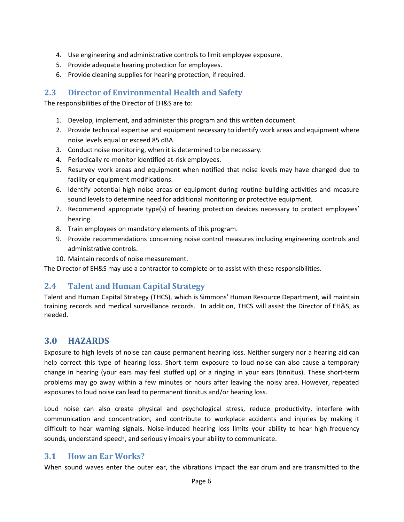- 4. Use engineering and administrative controls to limit employee exposure.
- 5. Provide adequate hearing protection for employees.
- 6. Provide cleaning supplies for hearing protection, if required.

#### <span id="page-5-0"></span>**2.3 Director of Environmental Health and Safety**

The responsibilities of the Director of EH&S are to:

- 1. Develop, implement, and administer this program and this written document.
- 2. Provide technical expertise and equipment necessary to identify work areas and equipment where noise levels equal or exceed 85 dBA.
- 3. Conduct noise monitoring, when it is determined to be necessary.
- 4. Periodically re-monitor identified at-risk employees.
- 5. Resurvey work areas and equipment when notified that noise levels may have changed due to facility or equipment modifications.
- 6. Identify potential high noise areas or equipment during routine building activities and measure sound levels to determine need for additional monitoring or protective equipment.
- 7. Recommend appropriate type(s) of hearing protection devices necessary to protect employees' hearing.
- 8. Train employees on mandatory elements of this program.
- 9. Provide recommendations concerning noise control measures including engineering controls and administrative controls.
- 10. Maintain records of noise measurement.

The Director of EH&S may use a contractor to complete or to assist with these responsibilities.

### <span id="page-5-1"></span>**2.4 Talent and Human Capital Strategy**

Talent and Human Capital Strategy (THCS), which is Simmons' Human Resource Department, will maintain training records and medical surveillance records. In addition, THCS will assist the Director of EH&S, as needed.

### <span id="page-5-2"></span>**3.0 HAZARDS**

Exposure to high levels of noise can cause permanent hearing loss. Neither surgery nor a hearing aid can help correct this type of hearing loss. Short term exposure to loud noise can also cause a temporary change in hearing (your ears may feel stuffed up) or a ringing in your ears (tinnitus). These short-term problems may go away within a few minutes or hours after leaving the noisy area. However, repeated exposures to loud noise can lead to permanent tinnitus and/or hearing loss.

Loud noise can also create physical and psychological stress, reduce productivity, interfere with communication and concentration, and contribute to workplace accidents and injuries by making it difficult to hear warning signals. Noise-induced hearing loss limits your ability to hear high frequency sounds, understand speech, and seriously impairs your ability to communicate.

### <span id="page-5-3"></span>**3.1 How an Ear Works?**

When sound waves enter the outer ear, the vibrations impact the ear drum and are transmitted to the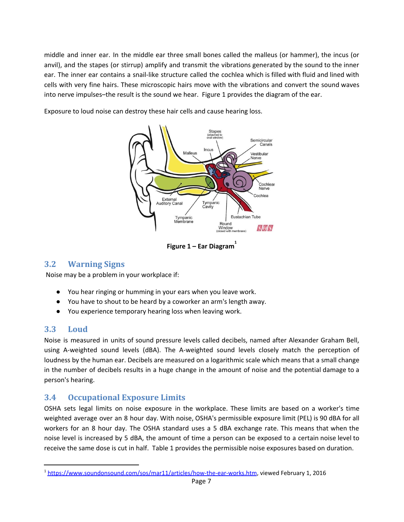middle and inner ear. In the middle ear three small bones called the malleus (or hammer), the incus (or anvil), and the stapes (or stirrup) amplify and transmit the vibrations generated by the sound to the inner ear. The inner ear contains a snail-like structure called the cochlea which is filled with fluid and lined with cells with very fine hairs. These microscopic hairs move with the vibrations and convert the sound waves into nerve impulses–the result is the sound we hear. Figure 1 provides the diagram of the ear.

Exposure to loud noise can destroy these hair cells and cause hearing loss.



**Figure 1 – Ear Diagram 1**

# <span id="page-6-0"></span>**3.2 Warning Signs**

Noise may be a problem in your workplace if:

- You hear ringing or humming in your ears when you leave work.
- You have to shout to be heard by a coworker an arm's length away.
- You experience temporary hearing loss when leaving work.

### <span id="page-6-1"></span>**3.3 Loud**

Noise is measured in units of sound pressure levels called decibels, named after Alexander Graham Bell, using A-weighted sound levels (dBA). The A-weighted sound levels closely match the perception of loudness by the human ear. Decibels are measured on a logarithmic scale which means that a small change in the number of decibels results in a huge change in the amount of noise and the potential damage to a person's hearing.

## <span id="page-6-2"></span>**3.4 Occupational Exposure Limits**

OSHA sets legal limits on noise exposure in the workplace. These limits are based on a worker's time weighted average over an 8 hour day. With noise, OSHA's permissible exposure limit (PEL) is 90 dBA for all workers for an 8 hour day. The OSHA standard uses a 5 dBA exchange rate. This means that when the noise level is increased by 5 dBA, the amount of time a person can be exposed to a certain noise level to receive the same dose is cut in half. Table 1 provides the permissible noise exposures based on duration.

<sup>&</sup>lt;sup>1</sup> <https://www.soundonsound.com/sos/mar11/articles/how-the-ear-works.htm>, viewed February 1, 2016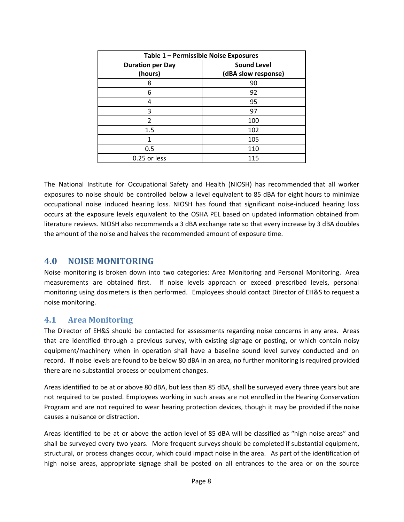| Table 1 - Permissible Noise Exposures |                     |  |  |
|---------------------------------------|---------------------|--|--|
| <b>Duration per Day</b>               | <b>Sound Level</b>  |  |  |
| (hours)                               | (dBA slow response) |  |  |
| 8                                     | 90                  |  |  |
| 6                                     | 92                  |  |  |
| 4                                     | 95                  |  |  |
| 3                                     | 97                  |  |  |
| $\overline{2}$                        | 100                 |  |  |
| 1.5                                   | 102                 |  |  |
| 1                                     | 105                 |  |  |
| 0.5                                   | 110                 |  |  |
| 0.25 or less                          | 115                 |  |  |

The National Institute for Occupational Safety and Health (NIOSH) has recommended that all worker exposures to noise should be controlled below a level equivalent to 85 dBA for eight hours to minimize occupational noise induced hearing loss. NIOSH has found that significant noise-induced hearing loss occurs at the exposure levels equivalent to the OSHA PEL based on updated information obtained from literature reviews. NIOSH also recommends a 3 dBA exchange rate so that every increase by 3 dBA doubles the amount of the noise and halves the recommended amount of exposure time.

#### <span id="page-7-0"></span>**4.0 NOISE MONITORING**

Noise monitoring is broken down into two categories: Area Monitoring and Personal Monitoring. Area measurements are obtained first. If noise levels approach or exceed prescribed levels, personal monitoring using dosimeters is then performed. Employees should contact Director of EH&S to request a noise monitoring.

### <span id="page-7-1"></span>**4.1 Area Monitoring**

The Director of EH&S should be contacted for assessments regarding noise concerns in any area. Areas that are identified through a previous survey, with existing signage or posting, or which contain noisy equipment/machinery when in operation shall have a baseline sound level survey conducted and on record. If noise levels are found to be below 80 dBA in an area, no further monitoring is required provided there are no substantial process or equipment changes.

Areas identified to be at or above 80 dBA, but less than 85 dBA, shall be surveyed every three years but are not required to be posted. Employees working in such areas are not enrolled in the Hearing Conservation Program and are not required to wear hearing protection devices, though it may be provided if the noise causes a nuisance or distraction.

Areas identified to be at or above the action level of 85 dBA will be classified as "high noise areas" and shall be surveyed every two years. More frequent surveys should be completed if substantial equipment, structural, or process changes occur, which could impact noise in the area. As part of the identification of high noise areas, appropriate signage shall be posted on all entrances to the area or on the source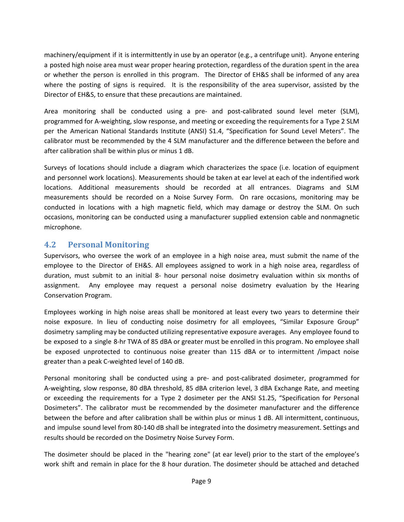machinery/equipment if it is intermittently in use by an operator (e.g., a centrifuge unit). Anyone entering a posted high noise area must wear proper hearing protection, regardless of the duration spent in the area or whether the person is enrolled in this program. The Director of EH&S shall be informed of any area where the posting of signs is required. It is the responsibility of the area supervisor, assisted by the Director of EH&S, to ensure that these precautions are maintained.

Area monitoring shall be conducted using a pre- and post-calibrated sound level meter (SLM), programmed for A-weighting, slow response, and meeting or exceeding the requirements for a Type 2 SLM per the American National Standards Institute (ANSI) S1.4, "Specification for Sound Level Meters". The calibrator must be recommended by the 4 SLM manufacturer and the difference between the before and after calibration shall be within plus or minus 1 dB.

Surveys of locations should include a diagram which characterizes the space (i.e. location of equipment and personnel work locations). Measurements should be taken at ear level at each of the indentified work locations. Additional measurements should be recorded at all entrances. Diagrams and SLM measurements should be recorded on a Noise Survey Form. On rare occasions, monitoring may be conducted in locations with a high magnetic field, which may damage or destroy the SLM. On such occasions, monitoring can be conducted using a manufacturer supplied extension cable and nonmagnetic microphone.

### <span id="page-8-0"></span>**4.2 Personal Monitoring**

Supervisors, who oversee the work of an employee in a high noise area, must submit the name of the employee to the Director of EH&S. All employees assigned to work in a high noise area, regardless of duration, must submit to an initial 8- hour personal noise dosimetry evaluation within six months of assignment. Any employee may request a personal noise dosimetry evaluation by the Hearing Conservation Program.

Employees working in high noise areas shall be monitored at least every two years to determine their noise exposure. In lieu of conducting noise dosimetry for all employees, "Similar Exposure Group" dosimetry sampling may be conducted utilizing representative exposure averages. Any employee found to be exposed to a single 8-hr TWA of 85 dBA or greater must be enrolled in this program. No employee shall be exposed unprotected to continuous noise greater than 115 dBA or to intermittent /impact noise greater than a peak C-weighted level of 140 dB.

Personal monitoring shall be conducted using a pre- and post-calibrated dosimeter, programmed for A-weighting, slow response, 80 dBA threshold, 85 dBA criterion level, 3 dBA Exchange Rate, and meeting or exceeding the requirements for a Type 2 dosimeter per the ANSI S1.25, "Specification for Personal Dosimeters". The calibrator must be recommended by the dosimeter manufacturer and the difference between the before and after calibration shall be within plus or minus 1 dB. All intermittent, continuous, and impulse sound level from 80-140 dB shall be integrated into the dosimetry measurement. Settings and results should be recorded on the Dosimetry Noise Survey Form.

The dosimeter should be placed in the "hearing zone" (at ear level) prior to the start of the employee's work shift and remain in place for the 8 hour duration. The dosimeter should be attached and detached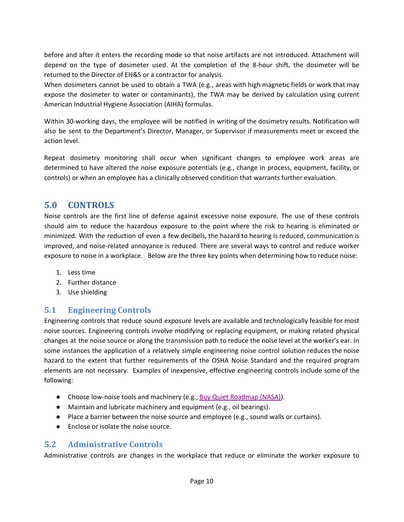before and after it enters the recording mode so that noise artifacts are not introduced. Attachment will depend on the type of dosimeter used. At the completion of the 8-hour shift, the dosimeter will be returned to the Director of EH&S or a contractor for analysis.

When dosimeters cannot be used to obtain a TWA (e.g., areas with high magnetic fields or work that may expose the dosimeter to water or contaminants), the TWA may be derived by calculation using current American Industrial Hygiene Association (AIHA) formulas.

Within 30-working days, the employee will be notified in writing of the dosimetry results. Notification will also be sent to the Department's Director, Manager, or Supervisor if measurements meet or exceed the action level.

Repeat dosimetry monitoring shall occur when significant changes to employee work areas are determined to have altered the noise exposure potentials (e.g., change in process, equipment, facility, or controls) or when an employee has a clinically observed condition that warrants further evaluation.

## <span id="page-9-0"></span>**5.0 CONTROLS**

Noise controls are the first line of defense against excessive noise exposure. The use of these controls should aim to reduce the hazardous exposure to the point where the risk to hearing is eliminated or minimized. With the reduction of even a few decibels, the hazard to hearing is reduced, communication is improved, and noise-related annoyance is reduced. There are several ways to control and reduce worker exposure to noise in a workplace. Below are the three key points when determining how to reduce noise:

- 1. Less time
- 2. Further distance
- 3. Use shielding

## <span id="page-9-1"></span>**5.1 Engineering Controls**

Engineering controls that reduce sound exposure levels are available and technologically feasible for most noise sources. Engineering controls involve modifying or replacing equipment, or making related physical changes at the noise source or along the transmission path to reduce the noise level at the worker's ear. In some instances the application of a relatively simple engineering noise control solution reduces the noise hazard to the extent that further requirements of the OSHA Noise Standard and the required program elements are not necessary. Examples of inexpensive, effective engineering controls include some of the following:

- Choose low-noise tools and machinery (e.g., Buy Quiet [Roadmap](http://buyquietroadmap.com/buy-quiet-purchasing/buy-quiet-process-roadmap/?doing_wp_cron=1392220083.4423069953918457031250) (NASA)).
- Maintain and lubricate machinery and equipment (e.g., oil bearings).
- Place a barrier between the noise source and employee (e.g., sound walls or curtains).
- Enclose or isolate the noise source.

#### <span id="page-9-2"></span>**5.2 Administrative Controls**

Administrative controls are changes in the workplace that reduce or eliminate the worker exposure to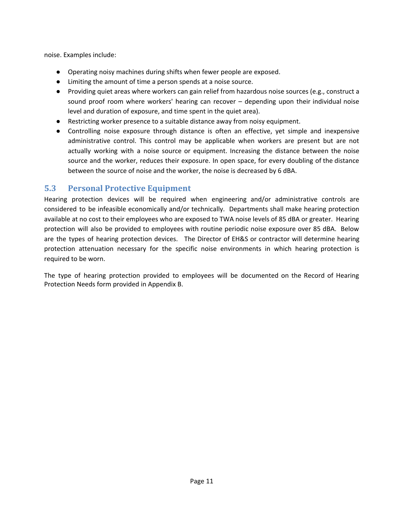noise. Examples include:

- Operating noisy machines during shifts when fewer people are exposed.
- Limiting the amount of time a person spends at a noise source.
- Providing quiet areas where workers can gain relief from hazardous noise sources (e.g., construct a sound proof room where workers' hearing can recover – depending upon their individual noise level and duration of exposure, and time spent in the quiet area).
- Restricting worker presence to a suitable distance away from noisy equipment.
- Controlling noise exposure through distance is often an effective, yet simple and inexpensive administrative control. This control may be applicable when workers are present but are not actually working with a noise source or equipment. Increasing the distance between the noise source and the worker, reduces their exposure. In open space, for every doubling of the distance between the source of noise and the worker, the noise is decreased by 6 dBA.

### <span id="page-10-0"></span>**5.3 Personal Protective Equipment**

Hearing protection devices will be required when engineering and/or administrative controls are considered to be infeasible economically and/or technically. Departments shall make hearing protection available at no cost to their employees who are exposed to TWA noise levels of 85 dBA or greater. Hearing protection will also be provided to employees with routine periodic noise exposure over 85 dBA. Below are the types of hearing protection devices. The Director of EH&S or contractor will determine hearing protection attenuation necessary for the specific noise environments in which hearing protection is required to be worn.

The type of hearing protection provided to employees will be documented on the Record of Hearing Protection Needs form provided in Appendix B.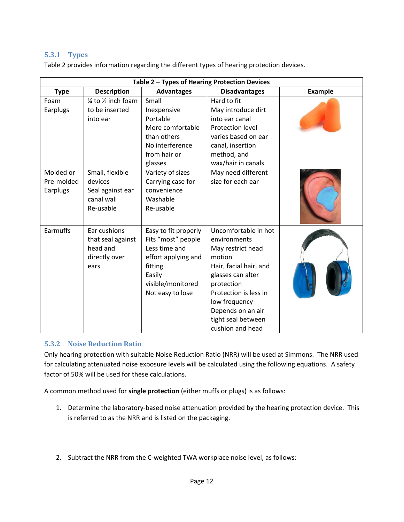#### <span id="page-11-0"></span>**5.3.1 Types**

Table 2 provides information regarding the different types of hearing protection devices.

| Table 2 - Types of Hearing Protection Devices |                                                                           |                                                                                                                                                  |                                                                                                                                                                                                                                           |         |  |
|-----------------------------------------------|---------------------------------------------------------------------------|--------------------------------------------------------------------------------------------------------------------------------------------------|-------------------------------------------------------------------------------------------------------------------------------------------------------------------------------------------------------------------------------------------|---------|--|
| <b>Type</b>                                   | <b>Description</b>                                                        | <b>Advantages</b>                                                                                                                                | <b>Disadvantages</b>                                                                                                                                                                                                                      | Example |  |
| Foam<br>Earplugs                              | $\frac{1}{4}$ to $\frac{1}{2}$ inch foam<br>to be inserted<br>into ear    | Small<br>Inexpensive<br>Portable<br>More comfortable<br>than others<br>No interference                                                           | Hard to fit<br>May introduce dirt<br>into ear canal<br><b>Protection level</b><br>varies based on ear<br>canal, insertion                                                                                                                 |         |  |
| Molded or<br>Pre-molded<br>Earplugs           | Small, flexible<br>devices<br>Seal against ear<br>canal wall<br>Re-usable | from hair or<br>glasses<br>Variety of sizes<br>Carrying case for<br>convenience<br>Washable<br>Re-usable                                         | method, and<br>wax/hair in canals<br>May need different<br>size for each ear                                                                                                                                                              |         |  |
| Earmuffs                                      | Ear cushions<br>that seal against<br>head and<br>directly over<br>ears    | Easy to fit properly<br>Fits "most" people<br>Less time and<br>effort applying and<br>fitting<br>Easily<br>visible/monitored<br>Not easy to lose | Uncomfortable in hot<br>environments<br>May restrict head<br>motion<br>Hair, facial hair, and<br>glasses can alter<br>protection<br>Protection is less in<br>low frequency<br>Depends on an air<br>tight seal between<br>cushion and head |         |  |

#### <span id="page-11-1"></span>**5.3.2 Noise Reduction Ratio**

Only hearing protection with suitable Noise Reduction Ratio (NRR) will be used at Simmons. The NRR used for calculating attenuated noise exposure levels will be calculated using the following equations. A safety factor of 50% will be used for these calculations.

A common method used for **single protection** (either muffs or plugs) is as follows:

- 1. Determine the laboratory-based noise attenuation provided by the hearing protection device. This is referred to as the NRR and is listed on the packaging.
- 2. Subtract the NRR from the C-weighted TWA workplace noise level, as follows: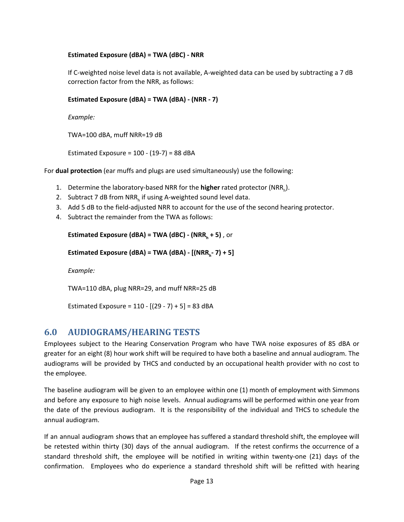#### **Estimated Exposure (dBA) = TWA (dBC) - NRR**

If C-weighted noise level data is not available, A-weighted data can be used by subtracting a 7 dB correction factor from the NRR, as follows:

#### **Estimated Exposure (dBA) = TWA (dBA) - (NRR - 7)**

*Example:*

TWA=100 dBA, muff NRR=19 dB

Estimated Exposure =  $100 - (19-7) = 88$  dBA

For **dual protection** (ear muffs and plugs are used simultaneously) use the following:

- 1. Determine the laboratory-based NRR for the **higher** rated protector (NRR<sub>h</sub>).
- 2. Subtract 7 dB from NRR<sub>h</sub> if using A-weighted sound level data.
- 3. Add 5 dB to the field-adjusted NRR to account for the use of the second hearing protector.
- 4. Subtract the remainder from the TWA as follows:

```
Estimated Exposure (dBA) = TWA (dBC) - (NRRh + 5) , or
```

```
Estimated Exposure (dBA) = TWA (dBA) - [(NRRh
- 7) + 5]
```
*Example:*

TWA=110 dBA, plug NRR=29, and muff NRR=25 dB

Estimated Exposure =  $110 - [(29 - 7) + 5] = 83$  dBA

#### <span id="page-12-0"></span>**6.0 AUDIOGRAMS/HEARING TESTS**

Employees subject to the Hearing Conservation Program who have TWA noise exposures of 85 dBA or greater for an eight (8) hour work shift will be required to have both a baseline and annual audiogram. The audiograms will be provided by THCS and conducted by an occupational health provider with no cost to the employee.

The baseline audiogram will be given to an employee within one (1) month of employment with Simmons and before any exposure to high noise levels. Annual audiograms will be performed within one year from the date of the previous audiogram. It is the responsibility of the individual and THCS to schedule the annual audiogram.

If an annual audiogram shows that an employee has suffered a standard threshold shift, the employee will be retested within thirty (30) days of the annual audiogram. If the retest confirms the occurrence of a standard threshold shift, the employee will be notified in writing within twenty-one (21) days of the confirmation. Employees who do experience a standard threshold shift will be refitted with hearing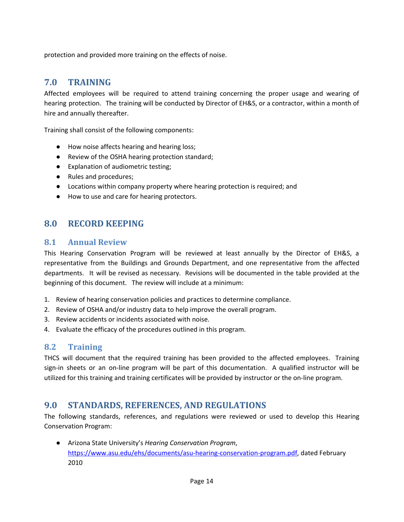protection and provided more training on the effects of noise.

### <span id="page-13-0"></span>**7.0 TRAINING**

Affected employees will be required to attend training concerning the proper usage and wearing of hearing protection. The training will be conducted by Director of EH&S, or a contractor, within a month of hire and annually thereafter.

Training shall consist of the following components:

- How noise affects hearing and hearing loss;
- Review of the OSHA hearing protection standard;
- Explanation of audiometric testing;
- Rules and procedures;
- Locations within company property where hearing protection is required; and
- How to use and care for hearing protectors.

### <span id="page-13-1"></span>**8.0 RECORD KEEPING**

#### <span id="page-13-2"></span>**8.1 Annual Review**

This Hearing Conservation Program will be reviewed at least annually by the Director of EH&S, a representative from the Buildings and Grounds Department, and one representative from the affected departments. It will be revised as necessary. Revisions will be documented in the table provided at the beginning of this document. The review will include at a minimum:

- 1. Review of hearing conservation policies and practices to determine compliance.
- 2. Review of OSHA and/or industry data to help improve the overall program.
- 3. Review accidents or incidents associated with noise.
- 4. Evaluate the efficacy of the procedures outlined in this program.

#### <span id="page-13-3"></span>**8.2 Training**

THCS will document that the required training has been provided to the affected employees. Training sign-in sheets or an on-line program will be part of this documentation. A qualified instructor will be utilized for this training and training certificates will be provided by instructor or the on-line program.

## <span id="page-13-4"></span>**9.0 STANDARDS, REFERENCES, AND REGULATIONS**

The following standards, references, and regulations were reviewed or used to develop this Hearing Conservation Program:

● Arizona State University's *Hearing Conservation Program*, [https://www.asu.edu/ehs/documents/asu-hearing-conservation-program.pdf,](https://www.asu.edu/ehs/documents/asu-hearing-conservation-program.pdf) dated February 2010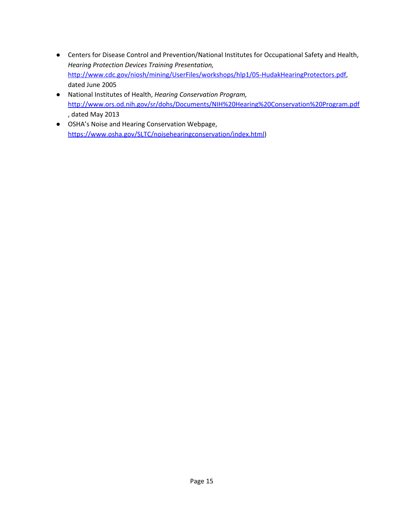- Centers for Disease Control and Prevention/National Institutes for Occupational Safety and Health, *Hearing Protection Devices Training Presentation,* [http://www.cdc.gov/niosh/mining/UserFiles/workshops/hlp1/05-HudakHearingProtectors.pdf,](http://www.cdc.gov/niosh/mining/UserFiles/workshops/hlp1/05-HudakHearingProtectors.pdf) dated June 2005
- National Institutes of Health, *Hearing Conservation Program,* <http://www.ors.od.nih.gov/sr/dohs/Documents/NIH%20Hearing%20Conservation%20Program.pdf> , dated May 2013
- OSHA's Noise and Hearing Conservation Webpage, <https://www.osha.gov/SLTC/noisehearingconservation/index.html>)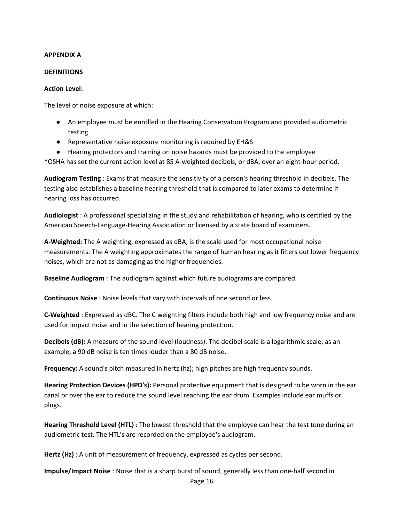#### **APPENDIX A**

#### **DEFINITIONS**

#### **Action Level:**

The level of noise exposure at which:

- An employee must be enrolled in the Hearing Conservation Program and provided audiometric testing
- Representative noise exposure monitoring is required by EH&S
- Hearing protectors and training on noise hazards must be provided to the employee

\*OSHA has set the current action level at 85 A-weighted decibels, or dBA, over an eight-hour period.

**Audiogram Testing** : Exams that measure the sensitivity of a person's hearing threshold in decibels. The testing also establishes a baseline hearing threshold that is compared to later exams to determine if hearing loss has occurred.

**Audiologist** : A professional specializing in the study and rehabilitation of hearing, who is certified by the American Speech-Language-Hearing Association or licensed by a state board of examiners.

**A-Weighted:** The A weighting, expressed as dBA, is the scale used for most occupational noise measurements. The A weighting approximates the range of human hearing as it filters out lower frequency noises, which are not as damaging as the higher frequencies.

**Baseline Audiogram** : The audiogram against which future audiograms are compared.

**Continuous Noise** : Noise levels that vary with intervals of one second or less.

**C-Weighted** : Expressed as dBC. The C weighting filters include both high and low frequency noise and are used for impact noise and in the selection of hearing protection.

**Decibels (dB):** A measure of the sound level (loudness). The decibel scale is a logarithmic scale; as an example, a 90 dB noise is ten times louder than a 80 dB noise.

**Frequency:** A sound's pitch measured in hertz (hz); high pitches are high frequency sounds.

**Hearing Protection Devices (HPD's):** Personal protective equipment that is designed to be worn in the ear canal or over the ear to reduce the sound level reaching the ear drum. Examples include ear muffs or plugs.

**Hearing Threshold Level (HTL)** : The lowest threshold that the employee can hear the test tone during an audiometric test. The HTL's are recorded on the employee's audiogram.

**Hertz (Hz)** : A unit of measurement of frequency, expressed as cycles per second.

**Impulse/Impact Noise** : Noise that is a sharp burst of sound, generally less than one-half second in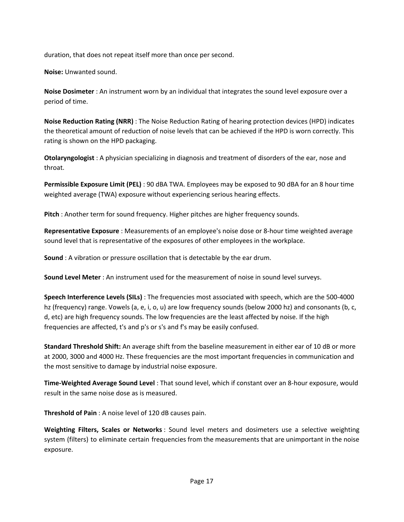duration, that does not repeat itself more than once per second.

**Noise:** Unwanted sound.

**Noise Dosimeter** : An instrument worn by an individual that integrates the sound level exposure over a period of time.

**Noise Reduction Rating (NRR)** : The Noise Reduction Rating of hearing protection devices (HPD) indicates the theoretical amount of reduction of noise levels that can be achieved if the HPD is worn correctly. This rating is shown on the HPD packaging.

**Otolaryngologist** : A physician specializing in diagnosis and treatment of disorders of the ear, nose and throat.

**Permissible Exposure Limit (PEL)** : 90 dBA TWA. Employees may be exposed to 90 dBA for an 8 hour time weighted average (TWA) exposure without experiencing serious hearing effects.

**Pitch** : Another term for sound frequency. Higher pitches are higher frequency sounds.

**Representative Exposure** : Measurements of an employee's noise dose or 8-hour time weighted average sound level that is representative of the exposures of other employees in the workplace.

**Sound** : A vibration or pressure oscillation that is detectable by the ear drum.

**Sound Level Meter** : An instrument used for the measurement of noise in sound level surveys.

**Speech Interference Levels (SILs)** : The frequencies most associated with speech, which are the 500-4000 hz (frequency) range. Vowels (a, e, i, o, u) are low frequency sounds (below 2000 hz) and consonants (b, c, d, etc) are high frequency sounds. The low frequencies are the least affected by noise. If the high frequencies are affected, t's and p's or s's and f's may be easily confused.

**Standard Threshold Shift:** An average shift from the baseline measurement in either ear of 10 dB or more at 2000, 3000 and 4000 Hz. These frequencies are the most important frequencies in communication and the most sensitive to damage by industrial noise exposure.

**Time-Weighted Average Sound Level** : That sound level, which if constant over an 8-hour exposure, would result in the same noise dose as is measured.

**Threshold of Pain** : A noise level of 120 dB causes pain.

**Weighting Filters, Scales or Networks** : Sound level meters and dosimeters use a selective weighting system (filters) to eliminate certain frequencies from the measurements that are unimportant in the noise exposure.